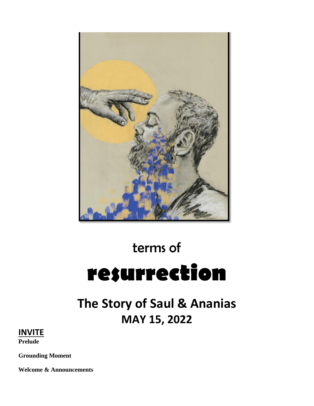

# terms of **resurrection**

# **The Story of Saul & Ananias MAY 15, 2022**

# **INVITE**

**Prelude**

**Grounding Moment**

**Welcome & Announcements**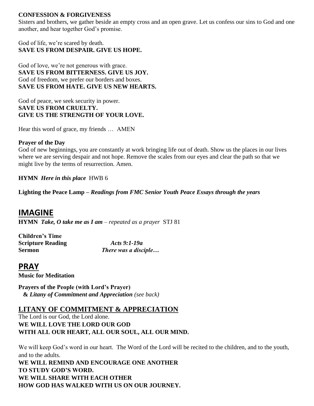#### **CONFESSION & FORGIVENESS**

Sisters and brothers, we gather beside an empty cross and an open grave. Let us confess our sins to God and one another, and hear together God's promise.

God of life, we're scared by death. **SAVE US FROM DESPAIR. GIVE US HOPE.**

God of love, we're not generous with grace. **SAVE US FROM BITTERNESS. GIVE US JOY.**  God of freedom, we prefer our borders and boxes. **SAVE US FROM HATE. GIVE US NEW HEARTS.**

God of peace, we seek security in power. **SAVE US FROM CRUELTY. GIVE US THE STRENGTH OF YOUR LOVE.** 

Hear this word of grace, my friends … AMEN

#### **Prayer of the Day**

God of new beginnings, you are constantly at work bringing life out of death. Show us the places in our lives where we are serving despair and not hope. Remove the scales from our eyes and clear the path so that we might live by the terms of resurrection. Amen.

**HYMN** *Here in this place*HWB 6

**Lighting the Peace Lamp –** *Readings from FMC Senior Youth Peace Essays through the years*

## **IMAGINE**

**HYMN** *Take, O take me as I am – repeated as a prayer* STJ 81

**Children's Time Scripture Reading** *Acts 9:1-19a*

**Sermon** *There was a disciple…*

## **PRAY**

**Music for Meditation**

**Prayers of the People (with Lord's Prayer) &** *Litany of Commitment and Appreciation (see back)*

#### **LITANY OF COMMITMENT & APPRECIATION**

The Lord is our God, the Lord alone. **WE WILL LOVE THE LORD OUR GOD WITH ALL OUR HEART, ALL OUR SOUL, ALL OUR MIND.** 

We will keep God's word in our heart. The Word of the Lord will be recited to the children, and to the youth, and to the adults.

**WE WILL REMIND AND ENCOURAGE ONE ANOTHER TO STUDY GOD'S WORD. WE WILL SHARE WITH EACH OTHER HOW GOD HAS WALKED WITH US ON OUR JOURNEY.**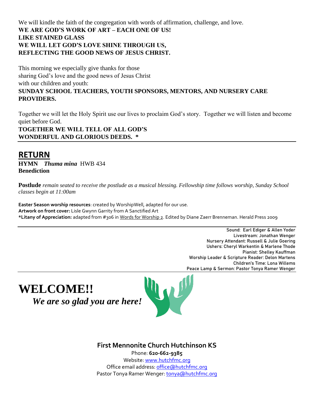We will kindle the faith of the congregation with words of affirmation, challenge, and love. **WE ARE GOD'S WORK OF ART – EACH ONE OF US! LIKE STAINED GLASS WE WILL LET GOD'S LOVE SHINE THROUGH US, REFLECTING THE GOOD NEWS OF JESUS CHRIST.**

This morning we especially give thanks for those sharing God's love and the good news of Jesus Christ with our children and youth: **SUNDAY SCHOOL TEACHERS, YOUTH SPONSORS, MENTORS, AND NURSERY CARE PROVIDERS.**

Together we will let the Holy Spirit use our lives to proclaim God's story. Together we will listen and become quiet before God.

**TOGETHER WE WILL TELL OF ALL GOD'S WONDERFUL AND GLORIOUS DEEDS. \***

# **RETURN**

**HYMN** *Thuma mina* HWB 434 **Benediction**

**Postlude** *remain seated to receive the postlude as a musical blessing. Fellowship time follows worship, Sunday School classes begin at 11:00am*

**Easter Season worship resources**: created by WorshipWell, adapted for our use. **Artwork on front cover:** Lisle Gwynn Garrity from A Sanctified Art **\*Litany of Appreciation:** adapted from #306 in Words for Worship 2. Edited by Diane Zaerr Brenneman. Herald Press 2009

> Sound: Earl Ediger & Allen Yoder Livestream: Jonathan Wenger Nursery Attendant: Russell & Julie Goering Ushers: Cheryl Warkentin & Marlene Thode Pianist: Shelley Kauffman Worship Leader & Scripture Reader: Delon Martens Children's Time: Lona Willems Peace Lamp & Sermon: Pastor Tonya Ramer Wenger

**WELCOME!!**  *We are so glad you are here!*



**First Mennonite Church Hutchinson KS**

Phone: **620-662-9385**  Website[: www.hutchfmc.org](http://www.hutchfmc.org/) Office email address[: office@hutchfmc.org](mailto:office@hutchfmc.org) Pastor Tonya Ramer Wenger[: tonya@hutchfmc.org](mailto:tonya@hutchfmc.org)